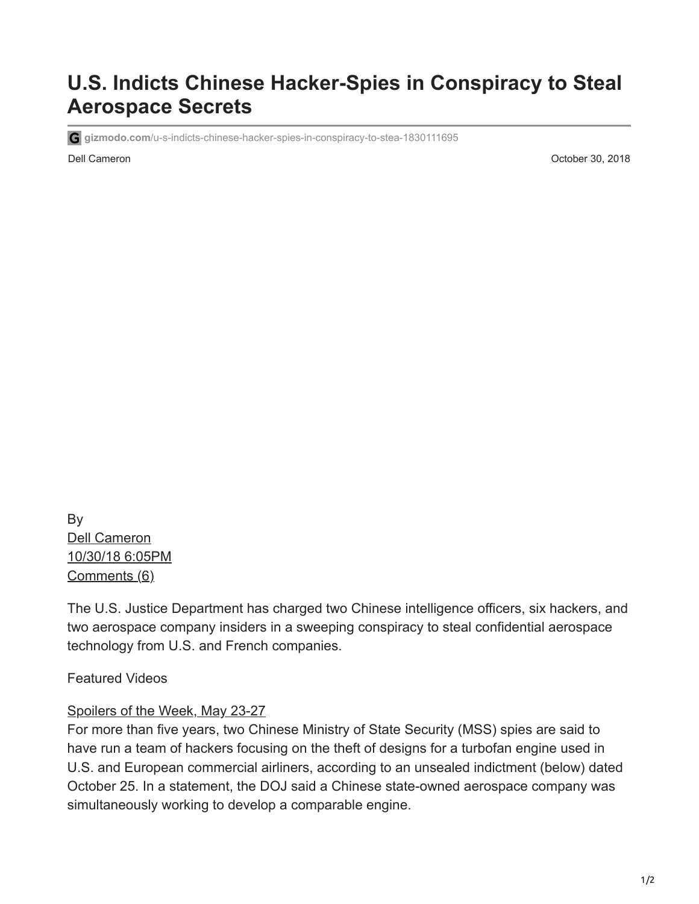## **U.S. Indicts Chinese Hacker-Spies in Conspiracy to Steal Aerospace Secrets**

**gizmodo.com**[/u-s-indicts-chinese-hacker-spies-in-conspiracy-to-stea-1830111695](https://gizmodo.com/u-s-indicts-chinese-hacker-spies-in-conspiracy-to-stea-1830111695)

Dell Cameron October 30, 2018

By [Dell Cameron](https://gizmodo.com/author/dellcam) [10/30/18 6:05PM](https://gizmodo.com/u-s-indicts-chinese-hacker-spies-in-conspiracy-to-stea-1830111695) [Comments \(6\)](https://gizmodo.com/u-s-indicts-chinese-hacker-spies-in-conspiracy-to-stea-1830111695#replies)

The U.S. Justice Department has charged two Chinese intelligence officers, six hackers, and two aerospace company insiders in a sweeping conspiracy to steal confidential aerospace technology from U.S. and French companies.

Featured Videos

## [Spoilers of the Week, May 23-27](https://gizmodo.com/spoilers-of-the-week-may-22-27-1848988592)

For more than five years, two Chinese Ministry of State Security (MSS) spies are said to have run a team of hackers focusing on the theft of designs for a turbofan engine used in U.S. and European commercial airliners, according to an unsealed indictment (below) dated October 25. In a statement, the DOJ said a Chinese state-owned aerospace company was simultaneously working to develop a comparable engine.